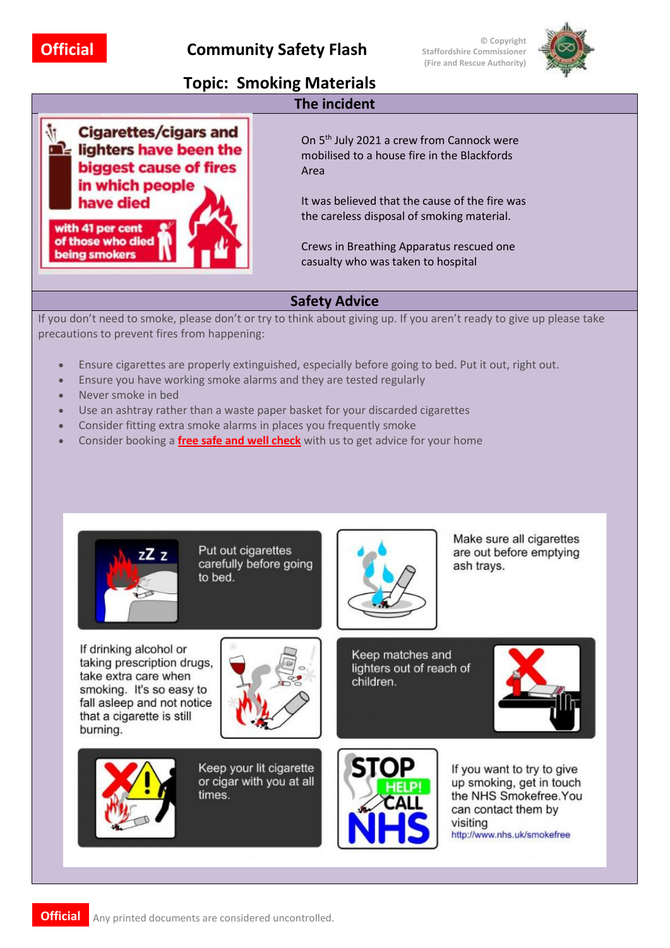**© Copyright Staffordshire Commissioner (Fire and Rescue Authority)**



## **Topic: Smoking Materials**



On 5<sup>th</sup> July 2021 a crew from Cannock were mobilised to a house fire in the Blackfords Area

It was believed that the cause of the fire was the careless disposal of smoking material.

Crews in Breathing Apparatus rescued one casualty who was taken to hospital

## **Safety Advice**

**The incident**

If you don't need to smoke, please don't or try to think about giving up. If you aren't ready to give up please take precautions to prevent fires from happening:

- Ensure cigarettes are properly extinguished, especially before going to bed. Put it out, right out.
- Ensure you have working smoke alarms and they are tested regularly
- Never smoke in bed
- Use an ashtray rather than a waste paper basket for your discarded cigarettes
- Consider fitting extra smoke alarms in places you frequently smoke
- Consider booking a **[free](https://www.lancsfirerescue.org.uk/contact-us/home-fire-safety/) safe and well check** with us to get advice for your home



Put out cigarettes carefully before going to bed.

If drinking alcohol or taking prescription drugs. take extra care when smoking. It's so easy to fall asleep and not notice that a cigarette is still burning.



Keep your lit cigarette or cigar with you at all times.



Make sure all cigarettes are out before emptying ash trays.

Keep matches and lighters out of reach of children.



If you want to try to give up smoking, get in touch the NHS Smokefree. You can contact them by visiting http://www.nhs.uk/smokefree